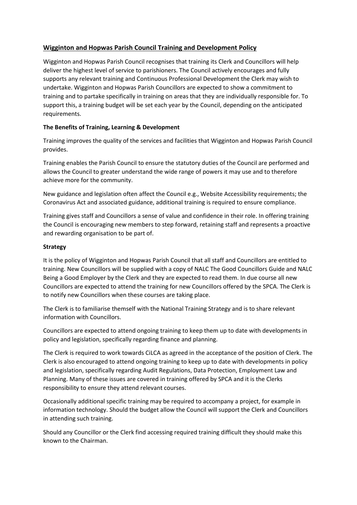# **Wigginton and Hopwas Parish Council Training and Development Policy**

Wigginton and Hopwas Parish Council recognises that training its Clerk and Councillors will help deliver the highest level of service to parishioners. The Council actively encourages and fully supports any relevant training and Continuous Professional Development the Clerk may wish to undertake. Wigginton and Hopwas Parish Councillors are expected to show a commitment to training and to partake specifically in training on areas that they are individually responsible for. To support this, a training budget will be set each year by the Council, depending on the anticipated requirements.

## **The Benefits of Training, Learning & Development**

Training improves the quality of the services and facilities that Wigginton and Hopwas Parish Council provides.

Training enables the Parish Council to ensure the statutory duties of the Council are performed and allows the Council to greater understand the wide range of powers it may use and to therefore achieve more for the community.

New guidance and legislation often affect the Council e.g., Website Accessibility requirements; the Coronavirus Act and associated guidance, additional training is required to ensure compliance.

Training gives staff and Councillors a sense of value and confidence in their role. In offering training the Council is encouraging new members to step forward, retaining staff and represents a proactive and rewarding organisation to be part of.

### **Strategy**

It is the policy of Wigginton and Hopwas Parish Council that all staff and Councillors are entitled to training. New Councillors will be supplied with a copy of NALC The Good Councillors Guide and NALC Being a Good Employer by the Clerk and they are expected to read them. In due course all new Councillors are expected to attend the training for new Councillors offered by the SPCA. The Clerk is to notify new Councillors when these courses are taking place.

The Clerk is to familiarise themself with the National Training Strategy and is to share relevant information with Councillors.

Councillors are expected to attend ongoing training to keep them up to date with developments in policy and legislation, specifically regarding finance and planning.

The Clerk is required to work towards CiLCA as agreed in the acceptance of the position of Clerk. The Clerk is also encouraged to attend ongoing training to keep up to date with developments in policy and legislation, specifically regarding Audit Regulations, Data Protection, Employment Law and Planning. Many of these issues are covered in training offered by SPCA and it is the Clerks responsibility to ensure they attend relevant courses.

Occasionally additional specific training may be required to accompany a project, for example in information technology. Should the budget allow the Council will support the Clerk and Councillors in attending such training.

Should any Councillor or the Clerk find accessing required training difficult they should make this known to the Chairman.